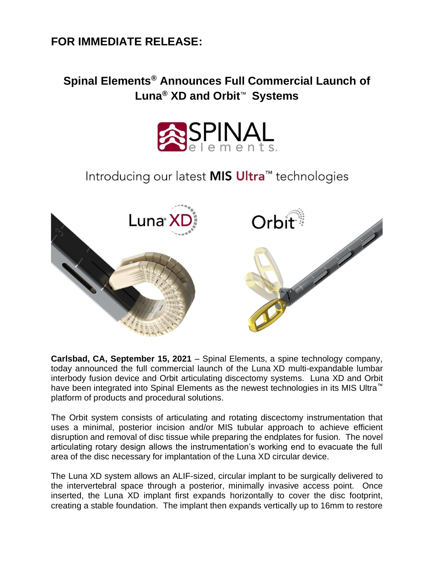## **FOR IMMEDIATE RELEASE:**

## **Spinal Elements® Announces Full Commercial Launch of Luna® XD and Orbit**™ **Systems**



## Introducing our latest MIS Ultra<sup>™</sup> technologies



**Carlsbad, CA, September 15, 2021** – Spinal Elements, a spine technology company, today announced the full commercial launch of the Luna XD multi-expandable lumbar interbody fusion device and Orbit articulating discectomy systems. Luna XD and Orbit have been integrated into Spinal Elements as the newest technologies in its MIS Ultra™ platform of products and procedural solutions.

The Orbit system consists of articulating and rotating discectomy instrumentation that uses a minimal, posterior incision and/or MIS tubular approach to achieve efficient disruption and removal of disc tissue while preparing the endplates for fusion. The novel articulating rotary design allows the instrumentation's working end to evacuate the full area of the disc necessary for implantation of the Luna XD circular device.

The Luna XD system allows an ALIF-sized, circular implant to be surgically delivered to the intervertebral space through a posterior, minimally invasive access point. Once inserted, the Luna XD implant first expands horizontally to cover the disc footprint, creating a stable foundation. The implant then expands vertically up to 16mm to restore